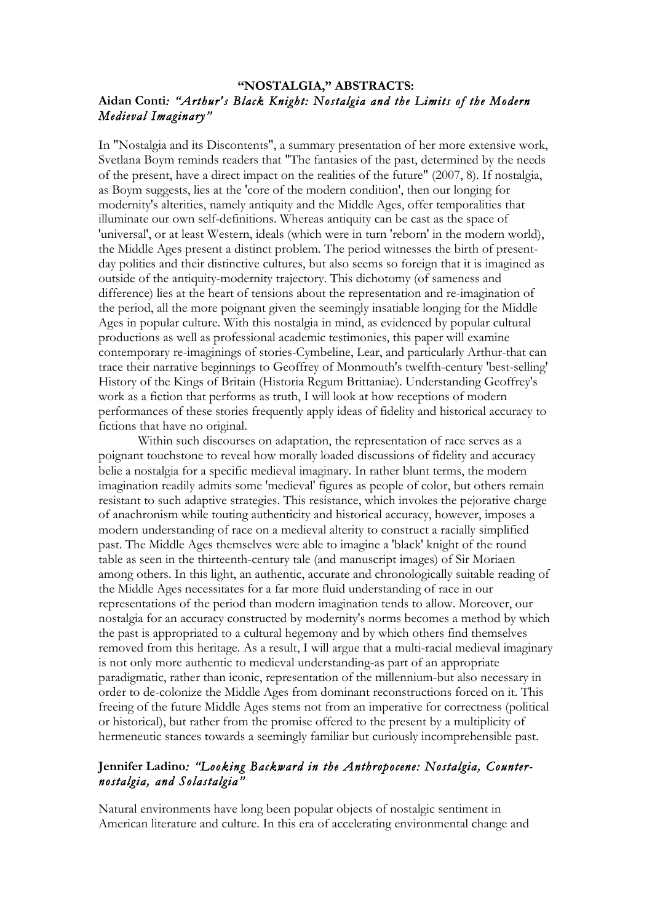# **"NOSTALGIA," ABSTRACTS: Aidan Conti***: "Arthur's Black Knight: Nostalgia and the Limits of the Modern Medieval Imaginary"*

In "Nostalgia and its Discontents", a summary presentation of her more extensive work, Svetlana Boym reminds readers that "The fantasies of the past, determined by the needs of the present, have a direct impact on the realities of the future" (2007, 8). If nostalgia, as Boym suggests, lies at the 'core of the modern condition', then our longing for modernity's alterities, namely antiquity and the Middle Ages, offer temporalities that illuminate our own self-definitions. Whereas antiquity can be cast as the space of 'universal', or at least Western, ideals (which were in turn 'reborn' in the modern world), the Middle Ages present a distinct problem. The period witnesses the birth of presentday polities and their distinctive cultures, but also seems so foreign that it is imagined as outside of the antiquity-modernity trajectory. This dichotomy (of sameness and difference) lies at the heart of tensions about the representation and re-imagination of the period, all the more poignant given the seemingly insatiable longing for the Middle Ages in popular culture. With this nostalgia in mind, as evidenced by popular cultural productions as well as professional academic testimonies, this paper will examine contemporary re-imaginings of stories-Cymbeline, Lear, and particularly Arthur-that can trace their narrative beginnings to Geoffrey of Monmouth's twelfth-century 'best-selling' History of the Kings of Britain (Historia Regum Brittaniae). Understanding Geoffrey's work as a fiction that performs as truth, I will look at how receptions of modern performances of these stories frequently apply ideas of fidelity and historical accuracy to fictions that have no original.

Within such discourses on adaptation, the representation of race serves as a poignant touchstone to reveal how morally loaded discussions of fidelity and accuracy belie a nostalgia for a specific medieval imaginary. In rather blunt terms, the modern imagination readily admits some 'medieval' figures as people of color, but others remain resistant to such adaptive strategies. This resistance, which invokes the pejorative charge of anachronism while touting authenticity and historical accuracy, however, imposes a modern understanding of race on a medieval alterity to construct a racially simplified past. The Middle Ages themselves were able to imagine a 'black' knight of the round table as seen in the thirteenth-century tale (and manuscript images) of Sir Moriaen among others. In this light, an authentic, accurate and chronologically suitable reading of the Middle Ages necessitates for a far more fluid understanding of race in our representations of the period than modern imagination tends to allow. Moreover, our nostalgia for an accuracy constructed by modernity's norms becomes a method by which the past is appropriated to a cultural hegemony and by which others find themselves removed from this heritage. As a result, I will argue that a multi-racial medieval imaginary is not only more authentic to medieval understanding-as part of an appropriate paradigmatic, rather than iconic, representation of the millennium-but also necessary in order to de-colonize the Middle Ages from dominant reconstructions forced on it. This freeing of the future Middle Ages stems not from an imperative for correctness (political or historical), but rather from the promise offered to the present by a multiplicity of hermeneutic stances towards a seemingly familiar but curiously incomprehensible past.

# **Jennifer Ladino***: "Looking Backward in the Anthropocene: Nostalgia, Counternostalgia, and Solastalgia"*

Natural environments have long been popular objects of nostalgic sentiment in American literature and culture. In this era of accelerating environmental change and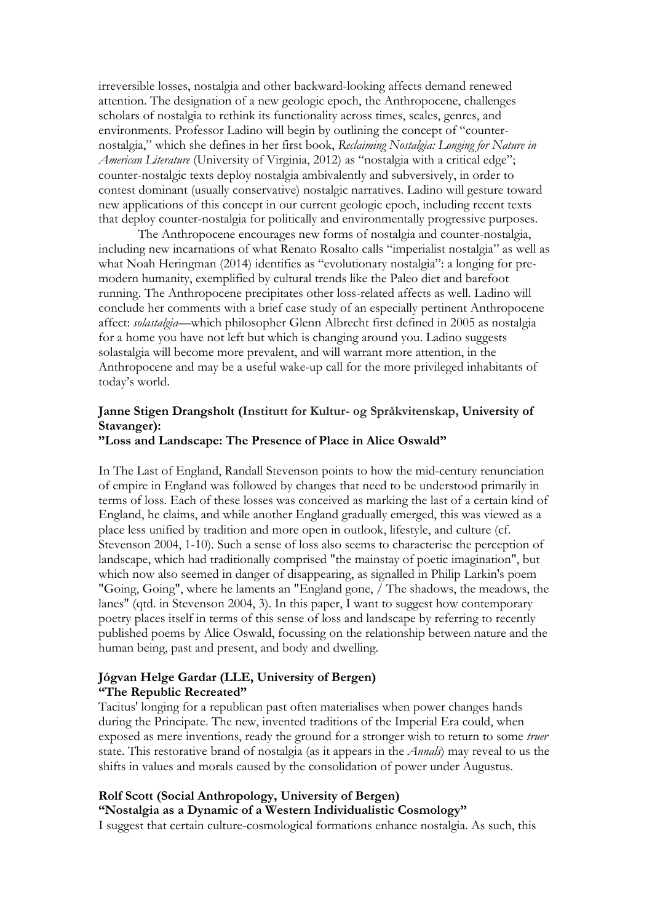irreversible losses, nostalgia and other backward-looking affects demand renewed attention. The designation of a new geologic epoch, the Anthropocene, challenges scholars of nostalgia to rethink its functionality across times, scales, genres, and environments. Professor Ladino will begin by outlining the concept of "counternostalgia," which she defines in her first book, *Reclaiming Nostalgia: Longing for Nature in American Literature* (University of Virginia, 2012) as "nostalgia with a critical edge"; counter-nostalgic texts deploy nostalgia ambivalently and subversively, in order to contest dominant (usually conservative) nostalgic narratives. Ladino will gesture toward new applications of this concept in our current geologic epoch, including recent texts that deploy counter-nostalgia for politically and environmentally progressive purposes.

The Anthropocene encourages new forms of nostalgia and counter-nostalgia, including new incarnations of what Renato Rosalto calls "imperialist nostalgia" as well as what Noah Heringman (2014) identifies as "evolutionary nostalgia": a longing for premodern humanity, exemplified by cultural trends like the Paleo diet and barefoot running. The Anthropocene precipitates other loss-related affects as well. Ladino will conclude her comments with a brief case study of an especially pertinent Anthropocene affect: *solastalgia*—which philosopher Glenn Albrecht first defined in 2005 as nostalgia for a home you have not left but which is changing around you. Ladino suggests solastalgia will become more prevalent, and will warrant more attention, in the Anthropocene and may be a useful wake-up call for the more privileged inhabitants of today's world.

### **Janne Stigen Drangsholt (Institutt for Kultur- og Språkvitenskap, University of Stavanger):**

#### **"Loss and Landscape: The Presence of Place in Alice Oswald"**

In The Last of England, Randall Stevenson points to how the mid-century renunciation of empire in England was followed by changes that need to be understood primarily in terms of loss. Each of these losses was conceived as marking the last of a certain kind of England, he claims, and while another England gradually emerged, this was viewed as a place less unified by tradition and more open in outlook, lifestyle, and culture (cf. Stevenson 2004, 1-10). Such a sense of loss also seems to characterise the perception of landscape, which had traditionally comprised "the mainstay of poetic imagination", but which now also seemed in danger of disappearing, as signalled in Philip Larkin's poem "Going, Going", where he laments an "England gone, / The shadows, the meadows, the lanes" (qtd. in Stevenson 2004, 3). In this paper, I want to suggest how contemporary poetry places itself in terms of this sense of loss and landscape by referring to recently published poems by Alice Oswald, focussing on the relationship between nature and the human being, past and present, and body and dwelling.

### **Jógvan Helge Gardar (LLE, University of Bergen) "The Republic Recreated"**

Tacitus' longing for a republican past often materialises when power changes hands during the Principate. The new, invented traditions of the Imperial Era could, when exposed as mere inventions, ready the ground for a stronger wish to return to some *truer*  state. This restorative brand of nostalgia (as it appears in the *Annals*) may reveal to us the shifts in values and morals caused by the consolidation of power under Augustus.

#### **Rolf Scott (Social Anthropology, University of Bergen)**

**"Nostalgia as a Dynamic of a Western Individualistic Cosmology"**

I suggest that certain culture-cosmological formations enhance nostalgia. As such, this